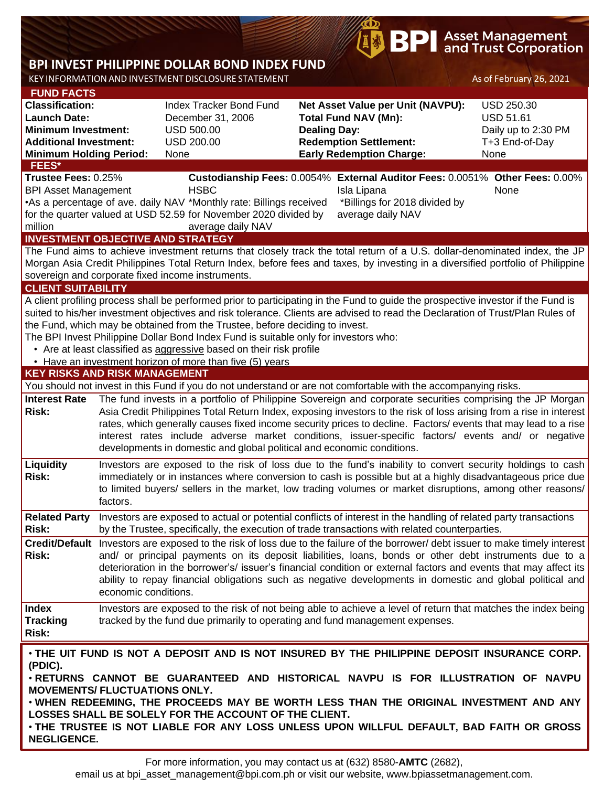# **BPI** Asset Management<br>**BPI** and Trust Corporation

# **BPI INVEST PHILIPPINE DOLLAR BOND INDEX FUND**

KEY INFORMATION AND INVESTMENT DISCLOSURE STATEMENT AS OF February 26, 2021

| <b>FUND FACTS</b>                                                                                                                                                                    |                                                                                                                                                                                                                                 |                                                                                      |                               |                                                                                                                                   |                     |  |  |  |  |  |
|--------------------------------------------------------------------------------------------------------------------------------------------------------------------------------------|---------------------------------------------------------------------------------------------------------------------------------------------------------------------------------------------------------------------------------|--------------------------------------------------------------------------------------|-------------------------------|-----------------------------------------------------------------------------------------------------------------------------------|---------------------|--|--|--|--|--|
| <b>Classification:</b>                                                                                                                                                               |                                                                                                                                                                                                                                 | Index Tracker Bond Fund                                                              |                               | Net Asset Value per Unit (NAVPU):                                                                                                 | <b>USD 250.30</b>   |  |  |  |  |  |
| <b>Launch Date:</b>                                                                                                                                                                  |                                                                                                                                                                                                                                 | December 31, 2006                                                                    |                               | <b>Total Fund NAV (Mn):</b>                                                                                                       | <b>USD 51.61</b>    |  |  |  |  |  |
| <b>Minimum Investment:</b>                                                                                                                                                           |                                                                                                                                                                                                                                 | <b>USD 500.00</b>                                                                    | <b>Dealing Day:</b>           |                                                                                                                                   | Daily up to 2:30 PM |  |  |  |  |  |
| <b>Additional Investment:</b>                                                                                                                                                        |                                                                                                                                                                                                                                 | <b>USD 200.00</b>                                                                    | <b>Redemption Settlement:</b> |                                                                                                                                   | T+3 End-of-Day      |  |  |  |  |  |
| <b>Minimum Holding Period:</b>                                                                                                                                                       |                                                                                                                                                                                                                                 | None                                                                                 |                               | <b>Early Redemption Charge:</b>                                                                                                   | None                |  |  |  |  |  |
| FEES*                                                                                                                                                                                |                                                                                                                                                                                                                                 |                                                                                      |                               |                                                                                                                                   |                     |  |  |  |  |  |
| Trustee Fees: 0.25%<br>Custodianship Fees: 0.0054% External Auditor Fees: 0.0051% Other Fees: 0.00%                                                                                  |                                                                                                                                                                                                                                 |                                                                                      |                               |                                                                                                                                   |                     |  |  |  |  |  |
| <b>BPI Asset Management</b>                                                                                                                                                          |                                                                                                                                                                                                                                 | <b>HSBC</b>                                                                          |                               | Isla Lipana                                                                                                                       | None                |  |  |  |  |  |
|                                                                                                                                                                                      |                                                                                                                                                                                                                                 | •As a percentage of ave. daily NAV *Monthly rate: Billings received                  |                               | *Billings for 2018 divided by                                                                                                     |                     |  |  |  |  |  |
| for the quarter valued at USD 52.59 for November 2020 divided by<br>average daily NAV                                                                                                |                                                                                                                                                                                                                                 |                                                                                      |                               |                                                                                                                                   |                     |  |  |  |  |  |
| million                                                                                                                                                                              |                                                                                                                                                                                                                                 | average daily NAV                                                                    |                               |                                                                                                                                   |                     |  |  |  |  |  |
| <b>INVESTMENT OBJECTIVE AND STRATEGY</b>                                                                                                                                             |                                                                                                                                                                                                                                 |                                                                                      |                               |                                                                                                                                   |                     |  |  |  |  |  |
|                                                                                                                                                                                      |                                                                                                                                                                                                                                 |                                                                                      |                               | The Fund aims to achieve investment returns that closely track the total return of a U.S. dollar-denominated index, the JP        |                     |  |  |  |  |  |
|                                                                                                                                                                                      |                                                                                                                                                                                                                                 |                                                                                      |                               |                                                                                                                                   |                     |  |  |  |  |  |
| Morgan Asia Credit Philippines Total Return Index, before fees and taxes, by investing in a diversified portfolio of Philippine<br>sovereign and corporate fixed income instruments. |                                                                                                                                                                                                                                 |                                                                                      |                               |                                                                                                                                   |                     |  |  |  |  |  |
| <b>CLIENT SUITABILITY</b>                                                                                                                                                            |                                                                                                                                                                                                                                 |                                                                                      |                               |                                                                                                                                   |                     |  |  |  |  |  |
|                                                                                                                                                                                      |                                                                                                                                                                                                                                 |                                                                                      |                               | A client profiling process shall be performed prior to participating in the Fund to guide the prospective investor if the Fund is |                     |  |  |  |  |  |
|                                                                                                                                                                                      |                                                                                                                                                                                                                                 |                                                                                      |                               | suited to his/her investment objectives and risk tolerance. Clients are advised to read the Declaration of Trust/Plan Rules of    |                     |  |  |  |  |  |
|                                                                                                                                                                                      |                                                                                                                                                                                                                                 | the Fund, which may be obtained from the Trustee, before deciding to invest.         |                               |                                                                                                                                   |                     |  |  |  |  |  |
|                                                                                                                                                                                      |                                                                                                                                                                                                                                 | The BPI Invest Philippine Dollar Bond Index Fund is suitable only for investors who: |                               |                                                                                                                                   |                     |  |  |  |  |  |
|                                                                                                                                                                                      |                                                                                                                                                                                                                                 | • Are at least classified as aggressive based on their risk profile                  |                               |                                                                                                                                   |                     |  |  |  |  |  |
|                                                                                                                                                                                      |                                                                                                                                                                                                                                 | • Have an investment horizon of more than five (5) years                             |                               |                                                                                                                                   |                     |  |  |  |  |  |
| <b>KEY RISKS AND RISK MANAGEMENT</b>                                                                                                                                                 |                                                                                                                                                                                                                                 |                                                                                      |                               |                                                                                                                                   |                     |  |  |  |  |  |
|                                                                                                                                                                                      |                                                                                                                                                                                                                                 |                                                                                      |                               | You should not invest in this Fund if you do not understand or are not comfortable with the accompanying risks.                   |                     |  |  |  |  |  |
| <b>Interest Rate</b>                                                                                                                                                                 |                                                                                                                                                                                                                                 |                                                                                      |                               |                                                                                                                                   |                     |  |  |  |  |  |
| <b>Risk:</b>                                                                                                                                                                         | The fund invests in a portfolio of Philippine Sovereign and corporate securities comprising the JP Morgan<br>Asia Credit Philippines Total Return Index, exposing investors to the risk of loss arising from a rise in interest |                                                                                      |                               |                                                                                                                                   |                     |  |  |  |  |  |
|                                                                                                                                                                                      | rates, which generally causes fixed income security prices to decline. Factors/ events that may lead to a rise                                                                                                                  |                                                                                      |                               |                                                                                                                                   |                     |  |  |  |  |  |
|                                                                                                                                                                                      | interest rates include adverse market conditions, issuer-specific factors/ events and/ or negative                                                                                                                              |                                                                                      |                               |                                                                                                                                   |                     |  |  |  |  |  |
|                                                                                                                                                                                      |                                                                                                                                                                                                                                 | developments in domestic and global political and economic conditions.               |                               |                                                                                                                                   |                     |  |  |  |  |  |
|                                                                                                                                                                                      |                                                                                                                                                                                                                                 |                                                                                      |                               |                                                                                                                                   |                     |  |  |  |  |  |
| Liquidity<br><b>Risk:</b>                                                                                                                                                            |                                                                                                                                                                                                                                 |                                                                                      |                               | Investors are exposed to the risk of loss due to the fund's inability to convert security holdings to cash                        |                     |  |  |  |  |  |
|                                                                                                                                                                                      | immediately or in instances where conversion to cash is possible but at a highly disadvantageous price due<br>to limited buyers/ sellers in the market, low trading volumes or market disruptions, among other reasons/         |                                                                                      |                               |                                                                                                                                   |                     |  |  |  |  |  |
|                                                                                                                                                                                      |                                                                                                                                                                                                                                 |                                                                                      |                               |                                                                                                                                   |                     |  |  |  |  |  |
|                                                                                                                                                                                      | factors.                                                                                                                                                                                                                        |                                                                                      |                               |                                                                                                                                   |                     |  |  |  |  |  |
| <b>Related Party</b>                                                                                                                                                                 |                                                                                                                                                                                                                                 |                                                                                      |                               | Investors are exposed to actual or potential conflicts of interest in the handling of related party transactions                  |                     |  |  |  |  |  |
| <b>Risk:</b>                                                                                                                                                                         |                                                                                                                                                                                                                                 |                                                                                      |                               | by the Trustee, specifically, the execution of trade transactions with related counterparties.                                    |                     |  |  |  |  |  |
|                                                                                                                                                                                      |                                                                                                                                                                                                                                 |                                                                                      |                               | Credit/Default Investors are exposed to the risk of loss due to the failure of the borrower/debt issuer to make timely interest   |                     |  |  |  |  |  |
| Risk:                                                                                                                                                                                |                                                                                                                                                                                                                                 |                                                                                      |                               | and/ or principal payments on its deposit liabilities, loans, bonds or other debt instruments due to a                            |                     |  |  |  |  |  |
|                                                                                                                                                                                      |                                                                                                                                                                                                                                 |                                                                                      |                               | deterioration in the borrower's/ issuer's financial condition or external factors and events that may affect its                  |                     |  |  |  |  |  |
|                                                                                                                                                                                      |                                                                                                                                                                                                                                 |                                                                                      |                               | ability to repay financial obligations such as negative developments in domestic and global political and                         |                     |  |  |  |  |  |
|                                                                                                                                                                                      | economic conditions.                                                                                                                                                                                                            |                                                                                      |                               |                                                                                                                                   |                     |  |  |  |  |  |
| <b>Index</b>                                                                                                                                                                         |                                                                                                                                                                                                                                 |                                                                                      |                               | Investors are exposed to the risk of not being able to achieve a level of return that matches the index being                     |                     |  |  |  |  |  |
| <b>Tracking</b>                                                                                                                                                                      |                                                                                                                                                                                                                                 | tracked by the fund due primarily to operating and fund management expenses.         |                               |                                                                                                                                   |                     |  |  |  |  |  |
| Risk:                                                                                                                                                                                |                                                                                                                                                                                                                                 |                                                                                      |                               |                                                                                                                                   |                     |  |  |  |  |  |
|                                                                                                                                                                                      |                                                                                                                                                                                                                                 |                                                                                      |                               |                                                                                                                                   |                     |  |  |  |  |  |
|                                                                                                                                                                                      |                                                                                                                                                                                                                                 |                                                                                      |                               | . THE UIT FUND IS NOT A DEPOSIT AND IS NOT INSURED BY THE PHILIPPINE DEPOSIT INSURANCE CORP.                                      |                     |  |  |  |  |  |
| (PDIC).                                                                                                                                                                              |                                                                                                                                                                                                                                 |                                                                                      |                               |                                                                                                                                   |                     |  |  |  |  |  |
| . RETURNS CANNOT BE GUARANTEED AND HISTORICAL NAVPU IS FOR ILLUSTRATION OF NAVPU                                                                                                     |                                                                                                                                                                                                                                 |                                                                                      |                               |                                                                                                                                   |                     |  |  |  |  |  |
| <b>MOVEMENTS/ FLUCTUATIONS ONLY.</b>                                                                                                                                                 |                                                                                                                                                                                                                                 |                                                                                      |                               |                                                                                                                                   |                     |  |  |  |  |  |
| . WHEN REDEEMING, THE PROCEEDS MAY BE WORTH LESS THAN THE ORIGINAL INVESTMENT AND ANY                                                                                                |                                                                                                                                                                                                                                 |                                                                                      |                               |                                                                                                                                   |                     |  |  |  |  |  |
| LOSSES SHALL BE SOLELY FOR THE ACCOUNT OF THE CLIENT.                                                                                                                                |                                                                                                                                                                                                                                 |                                                                                      |                               |                                                                                                                                   |                     |  |  |  |  |  |
| . THE TRUSTEE IS NOT LIABLE FOR ANY LOSS UNLESS UPON WILLFUL DEFAULT, BAD FAITH OR GROSS                                                                                             |                                                                                                                                                                                                                                 |                                                                                      |                               |                                                                                                                                   |                     |  |  |  |  |  |
| <b>NEGLIGENCE.</b>                                                                                                                                                                   |                                                                                                                                                                                                                                 |                                                                                      |                               |                                                                                                                                   |                     |  |  |  |  |  |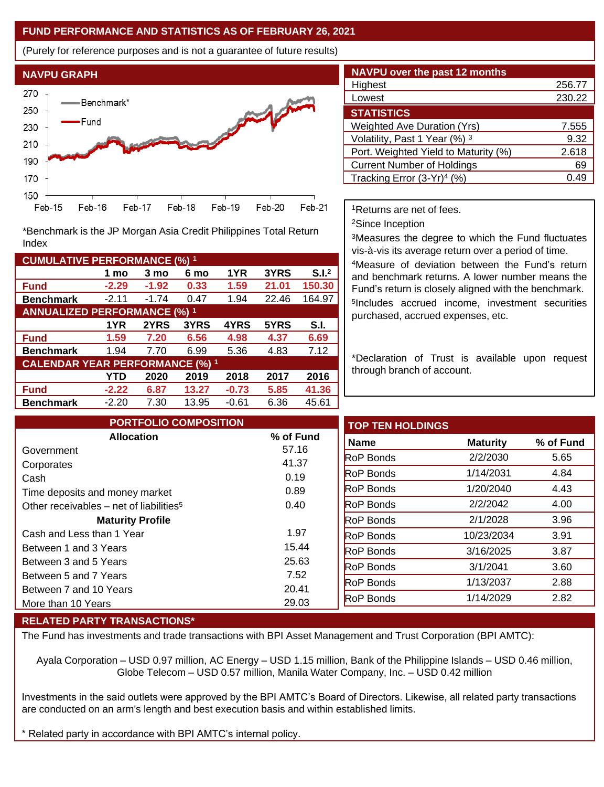### **FUND PERFORMANCE AND STATISTICS AS OF FEBRUARY 26, 2021**

(Purely for reference purposes and is not a guarantee of future results)



**Fund -2.29 -1.92 0.33 1.59 21.01 150.30 Benchmark** -2.11 -1.74 0.47 1.94 22.46 164.97

\*Benchmark is the JP Morgan Asia Credit Philippines Total Return

**Fund 1.59 7.20 6.56 4.98 4.37 6.69 Benchmark** 1.94 7.70 6.99 5.36 4.83 7.12

**Fund -2.22 6.87 13.27 -0.73 5.85 41.36 Benchmark** -2.20 7.30 13.95 -0.61 6.36 45.61

**1 mo 3 mo 6 mo 1YR 3YRS S.I.<sup>2</sup>**

**1YR 2YRS 3YRS 4YRS 5YRS S.I.**

**YTD 2020 2019 2018 2017 2016**

| <b>NAVPU over the past 12 months</b>   |        |
|----------------------------------------|--------|
| Highest                                | 256.77 |
| Lowest                                 | 230.22 |
| <b>STATISTICS</b>                      |        |
| <b>Weighted Ave Duration (Yrs)</b>     | 7.555  |
| Volatility, Past 1 Year (%) 3          | 9.32   |
| Port. Weighted Yield to Maturity (%)   | 2.618  |
| <b>Current Number of Holdings</b>      | 69     |
| Tracking Error (3-Yr) <sup>4</sup> (%) | .49    |

<sup>1</sup>Returns are net of fees.

<sup>2</sup>Since Inception

<sup>3</sup>Measures the degree to which the Fund fluctuates vis-à-vis its average return over a period of time.

<sup>4</sup>Measure of deviation between the Fund's return and benchmark returns. A lower number means the Fund's return is closely aligned with the benchmark. 5 Includes accrued income, investment securities purchased, accrued expenses, etc.

\*Declaration of Trust is available upon request through branch of account.

| <b>PORTFOLIO COMPOSITION</b>                        |           | <b>TOP TEN HOLDINGS</b> |                 |           |
|-----------------------------------------------------|-----------|-------------------------|-----------------|-----------|
| <b>Allocation</b>                                   | % of Fund | <b>Name</b>             | <b>Maturity</b> | % of Fund |
| Government                                          | 57.16     | <b>RoP</b> Bonds        | 2/2/2030        |           |
| Corporates                                          | 41.37     |                         |                 |           |
| Cash                                                | 0.19      | <b>RoP Bonds</b>        | 1/14/2031       |           |
| Time deposits and money market                      | 0.89      | <b>RoP Bonds</b>        | 1/20/2040       |           |
| Other receivables – net of liabilities <sup>5</sup> | 0.40      | <b>RoP</b> Bonds        | 2/2/2042        |           |
| <b>Maturity Profile</b>                             |           | <b>RoP</b> Bonds        | 2/1/2028        |           |
| Cash and Less than 1 Year                           | 1.97      | <b>RoP</b> Bonds        | 10/23/2034      |           |
| Between 1 and 3 Years                               | 15.44     | <b>RoP Bonds</b>        | 3/16/2025       |           |
| Between 3 and 5 Years                               | 25.63     | <b>RoP</b> Bonds        | 3/1/2041        |           |
| Between 5 and 7 Years                               | 7.52      | <b>RoP</b> Bonds        | 1/13/2037       |           |
| Between 7 and 10 Years                              | 20.41     |                         |                 |           |
| More than 10 Years                                  | 29.03     | RoP Bonds               | 1/14/2029       |           |

#### **RELATED PARTY TRANSACTIONS\***

**CUMULATIVE PERFORMANCE (%) <sup>1</sup>**

Index

**ANNUALIZED PERFORMANCE (%) <sup>1</sup>**

**CALENDAR YEAR PERFORMANCE (%) <sup>1</sup>**

The Fund has investments and trade transactions with BPI Asset Management and Trust Corporation (BPI AMTC):

Ayala Corporation – USD 0.97 million, AC Energy – USD 1.15 million, Bank of the Philippine Islands – USD 0.46 million, Globe Telecom – USD 0.57 million, Manila Water Company, Inc. – USD 0.42 million

Investments in the said outlets were approved by the BPI AMTC's Board of Directors. Likewise, all related party transactions are conducted on an arm's length and best execution basis and within established limits.

Related party in accordance with BPI AMTC's internal policy.